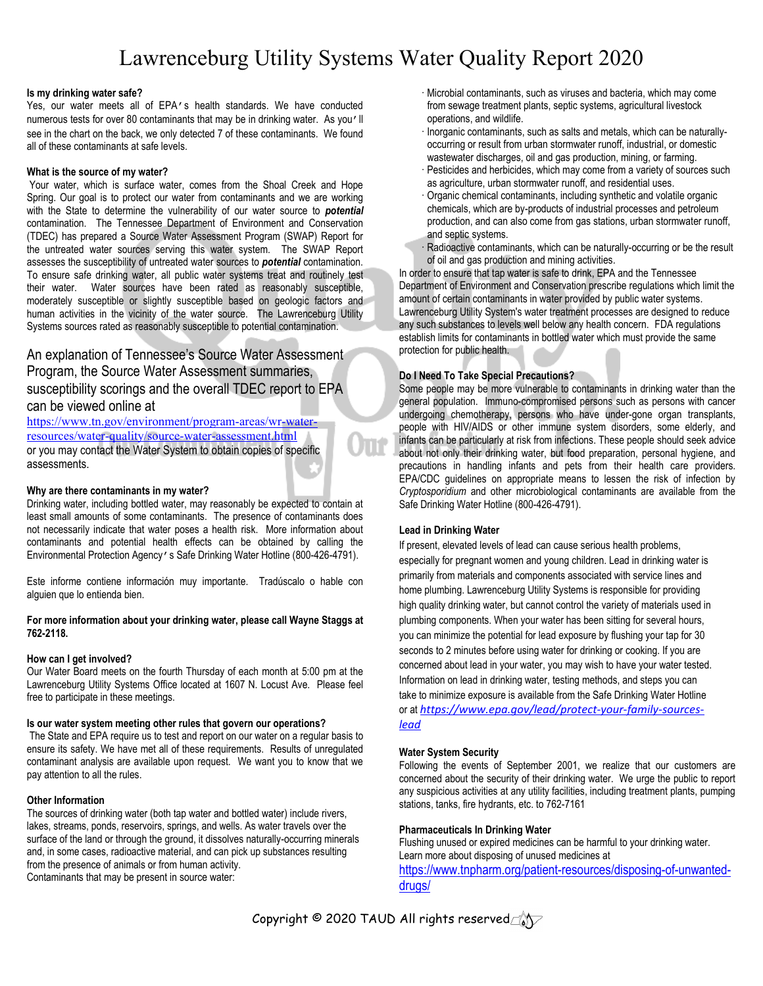## Lawrenceburg Utility Systems Water Quality Report 2020

#### **Is my drinking water safe?**

Yes, our water meets all of EPA's health standards. We have conducted numerous tests for over 80 contaminants that may be in drinking water. As you'll see in the chart on the back, we only detected 7 of these contaminants. We found all of these contaminants at safe levels.

#### **What is the source of my water?**

Your water, which is surface water, comes from the Shoal Creek and Hope Spring. Our goal is to protect our water from contaminants and we are working with the State to determine the vulnerability of our water source to *potential* contamination. The Tennessee Department of Environment and Conservation (TDEC) has prepared a Source Water Assessment Program (SWAP) Report for the untreated water sources serving this water system. The SWAP Report assesses the susceptibility of untreated water sources to *potential* contamination. To ensure safe drinking water, all public water systems treat and routinely test their water. Water sources have been rated as reasonably susceptible, moderately susceptible or slightly susceptible based on geologic factors and human activities in the vicinity of the water source. The Lawrenceburg Utility Systems sources rated as reasonably susceptible to potential contamination.

### An explanation of Tennessee's Source Water Assessment Program, the Source Water Assessment summaries, susceptibility scorings and the overall TDEC report to EPA can be viewed online at

[https://www.tn.gov/environment/program-areas/wr-water](https://www.tn.gov/environment/program-areas/wr-water-resources/water-quality/source-water-assessment.html)[resources/water-quality/source-water-assessment.html](https://www.tn.gov/environment/program-areas/wr-water-resources/water-quality/source-water-assessment.html) or you may contact the Water System to obtain copies of specific assessments.

#### **Why are there contaminants in my water?**

Drinking water, including bottled water, may reasonably be expected to contain at least small amounts of some contaminants. The presence of contaminants does not necessarily indicate that water poses a health risk. More information about contaminants and potential health effects can be obtained by calling the Environmental Protection Agency's Safe Drinking Water Hotline (800-426-4791).

Este informe contiene información muy importante. Tradúscalo o hable con alguien que lo entienda bien.

#### **For more information about your drinking water, please call Wayne Staggs at 762-2118.**

#### **How can I get involved?**

Our Water Board meets on the fourth Thursday of each month at 5:00 pm at the Lawrenceburg Utility Systems Office located at 1607 N. Locust Ave. Please feel free to participate in these meetings.

#### **Is our water system meeting other rules that govern our operations?**

The State and EPA require us to test and report on our water on a regular basis to ensure its safety. We have met all of these requirements. Results of unregulated contaminant analysis are available upon request. We want you to know that we pay attention to all the rules.

#### **Other Information**

The sources of drinking water (both tap water and bottled water) include rivers, lakes, streams, ponds, reservoirs, springs, and wells. As water travels over the surface of the land or through the ground, it dissolves naturally-occurring minerals and, in some cases, radioactive material, and can pick up substances resulting from the presence of animals or from human activity. Contaminants that may be present in source water:

- · Microbial contaminants, such as viruses and bacteria, which may come from sewage treatment plants, septic systems, agricultural livestock operations, and wildlife.
- · Inorganic contaminants, such as salts and metals, which can be naturallyoccurring or result from urban stormwater runoff, industrial, or domestic wastewater discharges, oil and gas production, mining, or farming.
- · Pesticides and herbicides, which may come from a variety of sources such as agriculture, urban stormwater runoff, and residential uses.
- · Organic chemical contaminants, including synthetic and volatile organic chemicals, which are by-products of industrial processes and petroleum production, and can also come from gas stations, urban stormwater runoff, and septic systems.
- Radioactive contaminants, which can be naturally-occurring or be the result of oil and gas production and mining activities.

In order to ensure that tap water is safe to drink, EPA and the Tennessee Department of Environment and Conservation prescribe regulations which limit the amount of certain contaminants in water provided by public water systems. Lawrenceburg Utility System's water treatment processes are designed to reduce any such substances to levels well below any health concern. FDA regulations establish limits for contaminants in bottled water which must provide the same protection for public health.

#### **Do I Need To Take Special Precautions?**

Some people may be more vulnerable to contaminants in drinking water than the general population. Immuno-compromised persons such as persons with cancer undergoing chemotherapy, persons who have under-gone organ transplants, people with HIV/AIDS or other immune system disorders, some elderly, and infants can be particularly at risk from infections. These people should seek advice about not only their drinking water, but food preparation, personal hygiene, and precautions in handling infants and pets from their health care providers. EPA/CDC guidelines on appropriate means to lessen the risk of infection by *Cryptosporidium* and other microbiological contaminants are available from the Safe Drinking Water Hotline (800-426-4791).

#### **Lead in Drinking Water**

If present, elevated levels of lead can cause serious health problems, especially for pregnant women and young children. Lead in drinking water is primarily from materials and components associated with service lines and home plumbing. Lawrenceburg Utility Systems is responsible for providing high quality drinking water, but cannot control the variety of materials used in plumbing components. When your water has been sitting for several hours, you can minimize the potential for lead exposure by flushing your tap for 30 seconds to 2 minutes before using water for drinking or cooking. If you are concerned about lead in your water, you may wish to have your water tested. Information on lead in drinking water, testing methods, and steps you can take to minimize exposure is available from the Safe Drinking Water Hotline or at *[https://www.epa.gov/lead/protect-your-family-sources](https://www.epa.gov/lead/protect-your-family-sources-lead)[lead](https://www.epa.gov/lead/protect-your-family-sources-lead)*

#### **Water System Security**

Following the events of September 2001, we realize that our customers are concerned about the security of their drinking water. We urge the public to report any suspicious activities at any utility facilities, including treatment plants, pumping stations, tanks, fire hydrants, etc. to 762-7161

#### **Pharmaceuticals In Drinking Water**

Flushing unused or expired medicines can be harmful to your drinking water. Learn more about disposing of unused medicines at [https://www.tnpharm.org/patient-resources/disposing-of-unwanted](https://www.tnpharm.org/patient-resources/disposing-of-unwanted-drugs/)[drugs/](https://www.tnpharm.org/patient-resources/disposing-of-unwanted-drugs/)